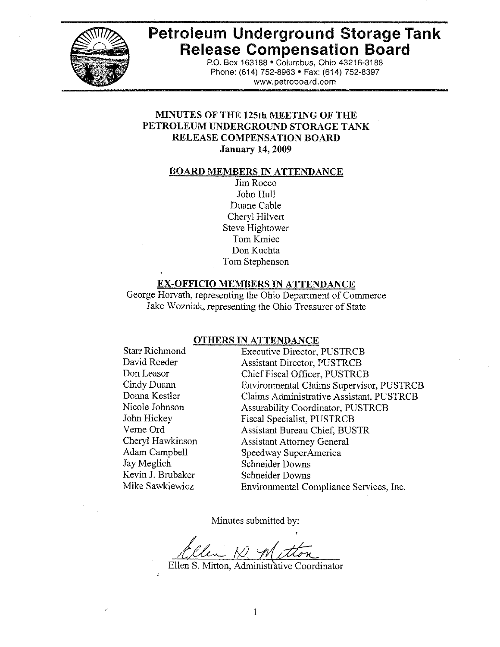

# **Petroleum Underground Storage Tank Release Compensation Board**

P.O. Box 163188 · Columbus, Ohio 43216-3188 Phone: (614) 752-8963 • Fax: (614) 752-8397 www.petroboard.com

# **MINUTES OF THE 125th MEETING OF THE** PETROLEUM UNDERGROUND STORAGE TANK **RELEASE COMPENSATION BOARD January 14, 2009**

#### **BOARD MEMBERS IN ATTENDANCE**

Jim Rocco John Hull Duane Cable Cheryl Hilvert **Steve Hightower** Tom Kmiec Don Kuchta Tom Stephenson

### **EX-OFFICIO MEMBERS IN ATTENDANCE**

George Horvath, representing the Ohio Department of Commerce Jake Wozniak, representing the Ohio Treasurer of State

#### **OTHERS IN ATTENDANCE**

**Starr Richmond** David Reeder Don Leasor Cindy Duann Donna Kestler Nicole Johnson John Hickey Verne Ord Cheryl Hawkinson Adam Campbell Jay Meglich Kevin J. Brubaker Mike Sawkiewicz

**Executive Director, PUSTRCB Assistant Director, PUSTRCB** Chief Fiscal Officer, PUSTRCB Environmental Claims Supervisor, PUSTRCB Claims Administrative Assistant, PUSTRCB **Assurability Coordinator, PUSTRCB** Fiscal Specialist, PUSTRCB **Assistant Bureau Chief, BUSTR Assistant Attorney General** Speedway SuperAmerica Schneider Downs **Schneider Downs** Environmental Compliance Services, Inc.

Minutes submitted by:

Ellen S. Mitton, Administrative Coordinator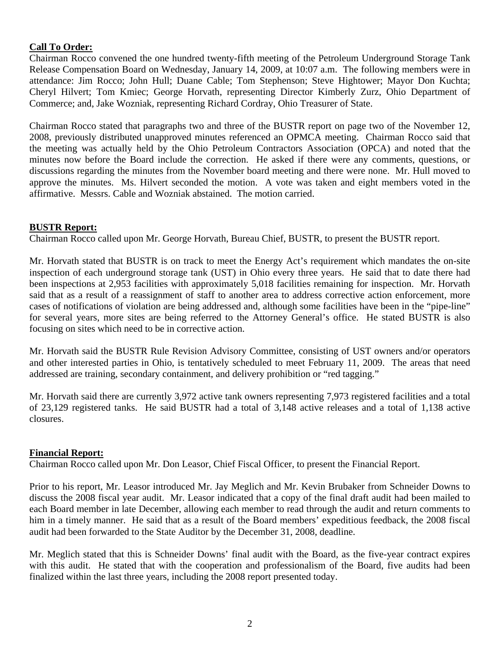# **Call To Order:**

Chairman Rocco convened the one hundred twenty-fifth meeting of the Petroleum Underground Storage Tank Release Compensation Board on Wednesday, January 14, 2009, at 10:07 a.m. The following members were in attendance: Jim Rocco; John Hull; Duane Cable; Tom Stephenson; Steve Hightower; Mayor Don Kuchta; Cheryl Hilvert; Tom Kmiec; George Horvath, representing Director Kimberly Zurz, Ohio Department of Commerce; and, Jake Wozniak, representing Richard Cordray, Ohio Treasurer of State.

Chairman Rocco stated that paragraphs two and three of the BUSTR report on page two of the November 12, 2008, previously distributed unapproved minutes referenced an OPMCA meeting. Chairman Rocco said that the meeting was actually held by the Ohio Petroleum Contractors Association (OPCA) and noted that the minutes now before the Board include the correction. He asked if there were any comments, questions, or discussions regarding the minutes from the November board meeting and there were none. Mr. Hull moved to approve the minutes. Ms. Hilvert seconded the motion. A vote was taken and eight members voted in the affirmative. Messrs. Cable and Wozniak abstained. The motion carried.

## **BUSTR Report:**

Chairman Rocco called upon Mr. George Horvath, Bureau Chief, BUSTR, to present the BUSTR report.

Mr. Horvath stated that BUSTR is on track to meet the Energy Act's requirement which mandates the on-site inspection of each underground storage tank (UST) in Ohio every three years. He said that to date there had been inspections at 2,953 facilities with approximately 5,018 facilities remaining for inspection. Mr. Horvath said that as a result of a reassignment of staff to another area to address corrective action enforcement, more cases of notifications of violation are being addressed and, although some facilities have been in the "pipe-line" for several years, more sites are being referred to the Attorney General's office. He stated BUSTR is also focusing on sites which need to be in corrective action.

Mr. Horvath said the BUSTR Rule Revision Advisory Committee, consisting of UST owners and/or operators and other interested parties in Ohio, is tentatively scheduled to meet February 11, 2009. The areas that need addressed are training, secondary containment, and delivery prohibition or "red tagging."

Mr. Horvath said there are currently 3,972 active tank owners representing 7,973 registered facilities and a total of 23,129 registered tanks. He said BUSTR had a total of 3,148 active releases and a total of 1,138 active closures.

#### **Financial Report:**

Chairman Rocco called upon Mr. Don Leasor, Chief Fiscal Officer, to present the Financial Report.

Prior to his report, Mr. Leasor introduced Mr. Jay Meglich and Mr. Kevin Brubaker from Schneider Downs to discuss the 2008 fiscal year audit. Mr. Leasor indicated that a copy of the final draft audit had been mailed to each Board member in late December, allowing each member to read through the audit and return comments to him in a timely manner. He said that as a result of the Board members' expeditious feedback, the 2008 fiscal audit had been forwarded to the State Auditor by the December 31, 2008, deadline.

Mr. Meglich stated that this is Schneider Downs' final audit with the Board, as the five-year contract expires with this audit. He stated that with the cooperation and professionalism of the Board, five audits had been finalized within the last three years, including the 2008 report presented today.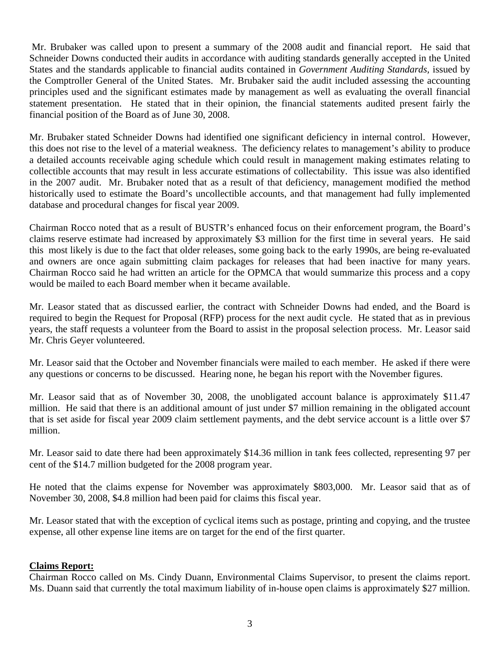Mr. Brubaker was called upon to present a summary of the 2008 audit and financial report. He said that Schneider Downs conducted their audits in accordance with auditing standards generally accepted in the United States and the standards applicable to financial audits contained in *Government Auditing Standards,* issued by the Comptroller General of the United States. Mr. Brubaker said the audit included assessing the accounting principles used and the significant estimates made by management as well as evaluating the overall financial statement presentation. He stated that in their opinion, the financial statements audited present fairly the financial position of the Board as of June 30, 2008.

Mr. Brubaker stated Schneider Downs had identified one significant deficiency in internal control. However, this does not rise to the level of a material weakness. The deficiency relates to management's ability to produce a detailed accounts receivable aging schedule which could result in management making estimates relating to collectible accounts that may result in less accurate estimations of collectability. This issue was also identified in the 2007 audit. Mr. Brubaker noted that as a result of that deficiency, management modified the method historically used to estimate the Board's uncollectible accounts, and that management had fully implemented database and procedural changes for fiscal year 2009.

Chairman Rocco noted that as a result of BUSTR's enhanced focus on their enforcement program, the Board's claims reserve estimate had increased by approximately \$3 million for the first time in several years. He said this most likely is due to the fact that older releases, some going back to the early 1990s, are being re-evaluated and owners are once again submitting claim packages for releases that had been inactive for many years. Chairman Rocco said he had written an article for the OPMCA that would summarize this process and a copy would be mailed to each Board member when it became available.

Mr. Leasor stated that as discussed earlier, the contract with Schneider Downs had ended, and the Board is required to begin the Request for Proposal (RFP) process for the next audit cycle. He stated that as in previous years, the staff requests a volunteer from the Board to assist in the proposal selection process. Mr. Leasor said Mr. Chris Geyer volunteered.

Mr. Leasor said that the October and November financials were mailed to each member. He asked if there were any questions or concerns to be discussed. Hearing none, he began his report with the November figures.

Mr. Leasor said that as of November 30, 2008, the unobligated account balance is approximately \$11.47 million. He said that there is an additional amount of just under \$7 million remaining in the obligated account that is set aside for fiscal year 2009 claim settlement payments, and the debt service account is a little over \$7 million.

Mr. Leasor said to date there had been approximately \$14.36 million in tank fees collected, representing 97 per cent of the \$14.7 million budgeted for the 2008 program year.

He noted that the claims expense for November was approximately \$803,000. Mr. Leasor said that as of November 30, 2008, \$4.8 million had been paid for claims this fiscal year.

Mr. Leasor stated that with the exception of cyclical items such as postage, printing and copying, and the trustee expense, all other expense line items are on target for the end of the first quarter.

# **Claims Report:**

Chairman Rocco called on Ms. Cindy Duann, Environmental Claims Supervisor, to present the claims report. Ms. Duann said that currently the total maximum liability of in-house open claims is approximately \$27 million.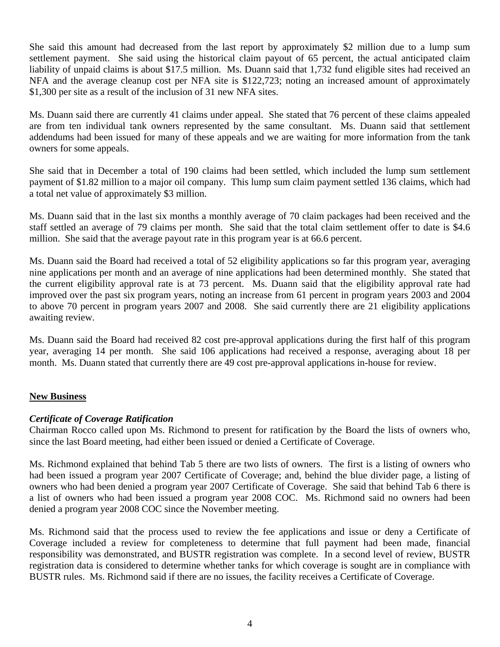She said this amount had decreased from the last report by approximately \$2 million due to a lump sum settlement payment. She said using the historical claim payout of 65 percent, the actual anticipated claim liability of unpaid claims is about \$17.5 million. Ms. Duann said that 1,732 fund eligible sites had received an NFA and the average cleanup cost per NFA site is \$122,723; noting an increased amount of approximately \$1,300 per site as a result of the inclusion of 31 new NFA sites.

Ms. Duann said there are currently 41 claims under appeal. She stated that 76 percent of these claims appealed are from ten individual tank owners represented by the same consultant. Ms. Duann said that settlement addendums had been issued for many of these appeals and we are waiting for more information from the tank owners for some appeals.

She said that in December a total of 190 claims had been settled, which included the lump sum settlement payment of \$1.82 million to a major oil company. This lump sum claim payment settled 136 claims, which had a total net value of approximately \$3 million.

Ms. Duann said that in the last six months a monthly average of 70 claim packages had been received and the staff settled an average of 79 claims per month. She said that the total claim settlement offer to date is \$4.6 million. She said that the average payout rate in this program year is at 66.6 percent.

Ms. Duann said the Board had received a total of 52 eligibility applications so far this program year, averaging nine applications per month and an average of nine applications had been determined monthly. She stated that the current eligibility approval rate is at 73 percent. Ms. Duann said that the eligibility approval rate had improved over the past six program years, noting an increase from 61 percent in program years 2003 and 2004 to above 70 percent in program years 2007 and 2008. She said currently there are 21 eligibility applications awaiting review.

Ms. Duann said the Board had received 82 cost pre-approval applications during the first half of this program year, averaging 14 per month. She said 106 applications had received a response, averaging about 18 per month. Ms. Duann stated that currently there are 49 cost pre-approval applications in-house for review.

# **New Business**

# *Certificate of Coverage Ratification*

Chairman Rocco called upon Ms. Richmond to present for ratification by the Board the lists of owners who, since the last Board meeting, had either been issued or denied a Certificate of Coverage.

Ms. Richmond explained that behind Tab 5 there are two lists of owners. The first is a listing of owners who had been issued a program year 2007 Certificate of Coverage; and, behind the blue divider page, a listing of owners who had been denied a program year 2007 Certificate of Coverage. She said that behind Tab 6 there is a list of owners who had been issued a program year 2008 COC. Ms. Richmond said no owners had been denied a program year 2008 COC since the November meeting.

Ms. Richmond said that the process used to review the fee applications and issue or deny a Certificate of Coverage included a review for completeness to determine that full payment had been made, financial responsibility was demonstrated, and BUSTR registration was complete. In a second level of review, BUSTR registration data is considered to determine whether tanks for which coverage is sought are in compliance with BUSTR rules. Ms. Richmond said if there are no issues, the facility receives a Certificate of Coverage.